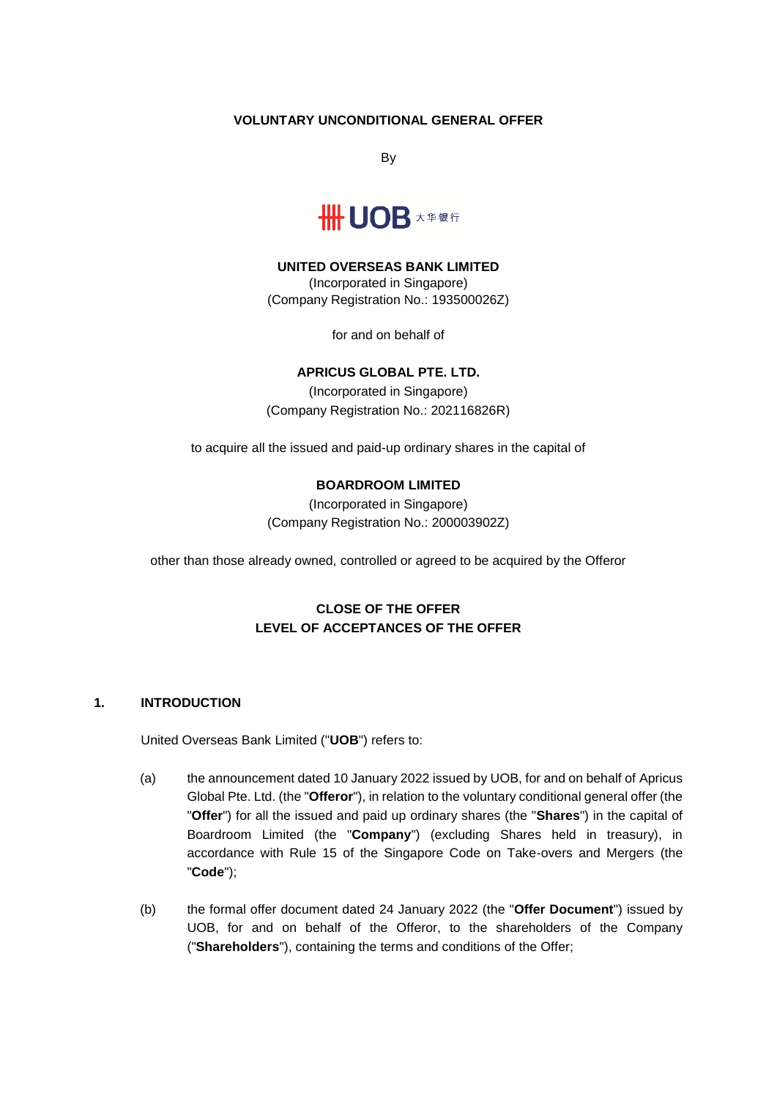### **VOLUNTARY UNCONDITIONAL GENERAL OFFER**

By



#### **UNITED OVERSEAS BANK LIMITED**

(Incorporated in Singapore) (Company Registration No.: 193500026Z)

for and on behalf of

### **APRICUS GLOBAL PTE. LTD.**

(Incorporated in Singapore) (Company Registration No.: 202116826R)

to acquire all the issued and paid-up ordinary shares in the capital of

### **BOARDROOM LIMITED**

(Incorporated in Singapore) (Company Registration No.: 200003902Z)

other than those already owned, controlled or agreed to be acquired by the Offeror

# **CLOSE OF THE OFFER LEVEL OF ACCEPTANCES OF THE OFFER**

#### **1. INTRODUCTION**

United Overseas Bank Limited ("**UOB**") refers to:

- (a) the announcement dated 10 January 2022 issued by UOB, for and on behalf of Apricus Global Pte. Ltd. (the "**Offeror**"), in relation to the voluntary conditional general offer (the "**Offer**") for all the issued and paid up ordinary shares (the "**Shares**") in the capital of Boardroom Limited (the "**Company**") (excluding Shares held in treasury), in accordance with Rule 15 of the Singapore Code on Take-overs and Mergers (the "**Code**");
- (b) the formal offer document dated 24 January 2022 (the "**Offer Document**") issued by UOB, for and on behalf of the Offeror, to the shareholders of the Company ("**Shareholders**"), containing the terms and conditions of the Offer;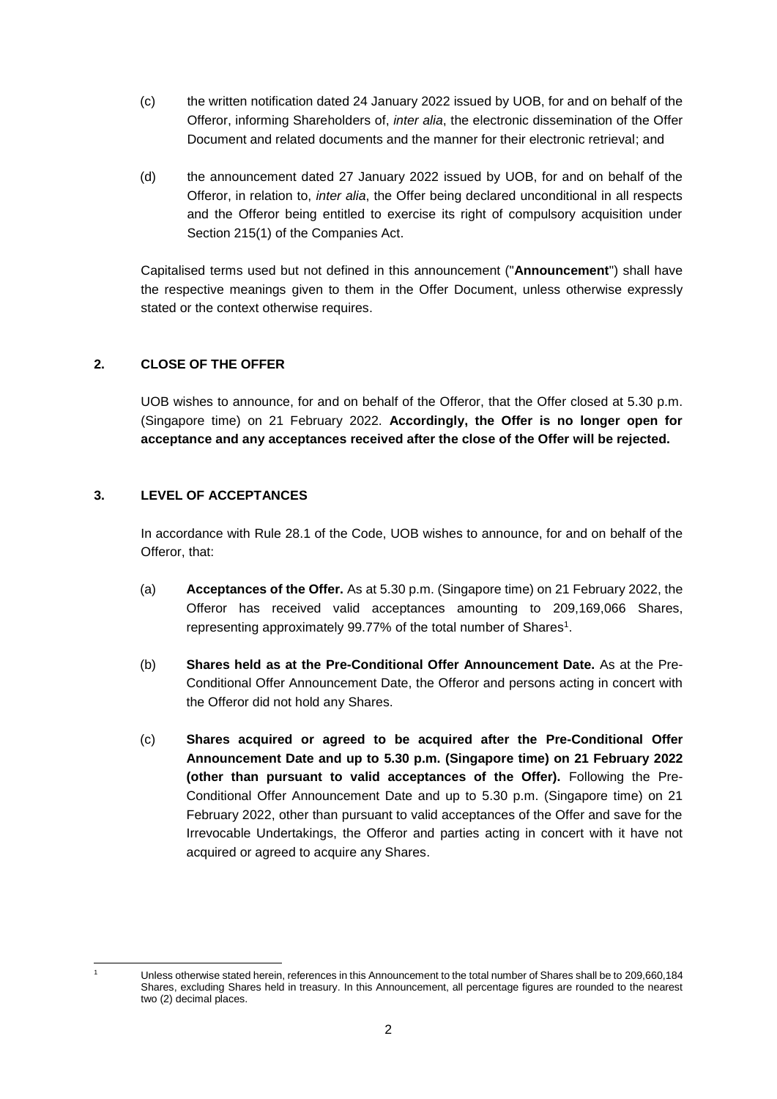- (c) the written notification dated 24 January 2022 issued by UOB, for and on behalf of the Offeror, informing Shareholders of, *inter alia*, the electronic dissemination of the Offer Document and related documents and the manner for their electronic retrieval; and
- (d) the announcement dated 27 January 2022 issued by UOB, for and on behalf of the Offeror, in relation to, *inter alia*, the Offer being declared unconditional in all respects and the Offeror being entitled to exercise its right of compulsory acquisition under Section 215(1) of the Companies Act.

Capitalised terms used but not defined in this announcement ("**Announcement**") shall have the respective meanings given to them in the Offer Document, unless otherwise expressly stated or the context otherwise requires.

# **2. CLOSE OF THE OFFER**

UOB wishes to announce, for and on behalf of the Offeror, that the Offer closed at 5.30 p.m. (Singapore time) on 21 February 2022. **Accordingly, the Offer is no longer open for acceptance and any acceptances received after the close of the Offer will be rejected.**

# **3. LEVEL OF ACCEPTANCES**

In accordance with Rule 28.1 of the Code, UOB wishes to announce, for and on behalf of the Offeror, that:

- (a) **Acceptances of the Offer.** As at 5.30 p.m. (Singapore time) on 21 February 2022, the Offeror has received valid acceptances amounting to 209,169,066 Shares, representing approximately 99.77% of the total number of Shares<sup>1</sup>.
- (b) **Shares held as at the Pre-Conditional Offer Announcement Date.** As at the Pre-Conditional Offer Announcement Date, the Offeror and persons acting in concert with the Offeror did not hold any Shares.
- (c) **Shares acquired or agreed to be acquired after the Pre-Conditional Offer Announcement Date and up to 5.30 p.m. (Singapore time) on 21 February 2022 (other than pursuant to valid acceptances of the Offer).** Following the Pre-Conditional Offer Announcement Date and up to 5.30 p.m. (Singapore time) on 21 February 2022, other than pursuant to valid acceptances of the Offer and save for the Irrevocable Undertakings, the Offeror and parties acting in concert with it have not acquired or agreed to acquire any Shares.

<sup>-</sup>

Unless otherwise stated herein, references in this Announcement to the total number of Shares shall be to 209,660,184 Shares, excluding Shares held in treasury. In this Announcement, all percentage figures are rounded to the nearest two (2) decimal places.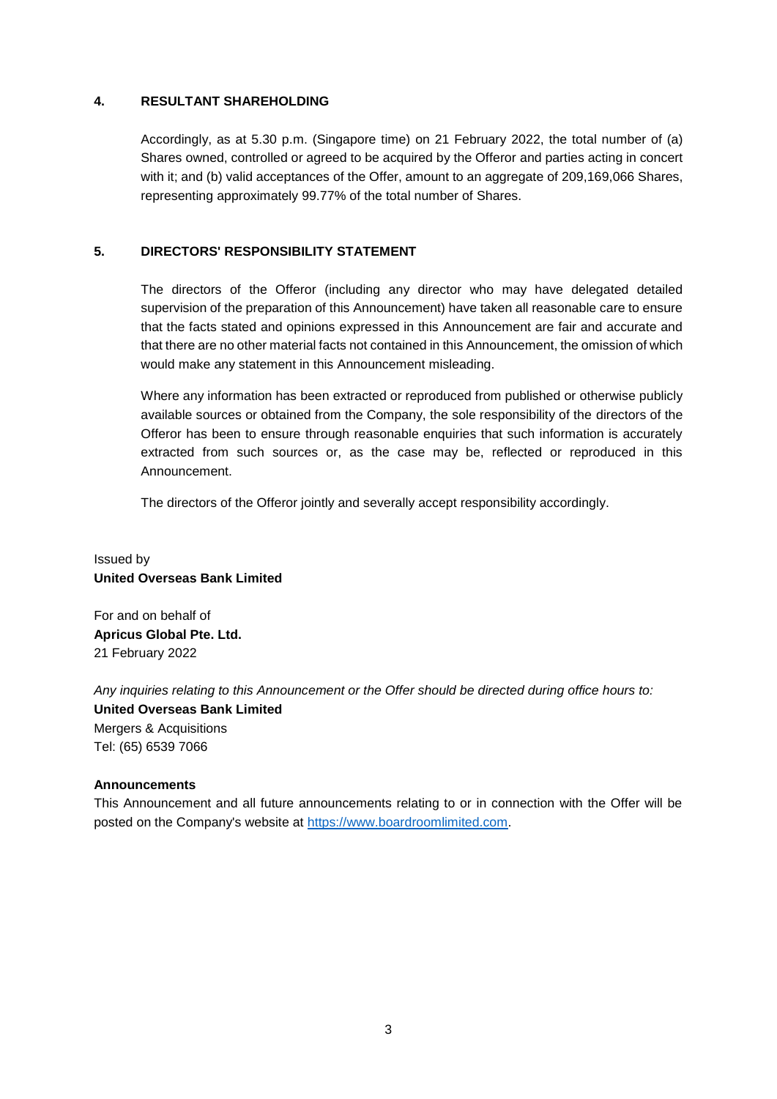### **4. RESULTANT SHAREHOLDING**

Accordingly, as at 5.30 p.m. (Singapore time) on 21 February 2022, the total number of (a) Shares owned, controlled or agreed to be acquired by the Offeror and parties acting in concert with it; and (b) valid acceptances of the Offer, amount to an aggregate of 209,169,066 Shares, representing approximately 99.77% of the total number of Shares.

### **5. DIRECTORS' RESPONSIBILITY STATEMENT**

The directors of the Offeror (including any director who may have delegated detailed supervision of the preparation of this Announcement) have taken all reasonable care to ensure that the facts stated and opinions expressed in this Announcement are fair and accurate and that there are no other material facts not contained in this Announcement, the omission of which would make any statement in this Announcement misleading.

Where any information has been extracted or reproduced from published or otherwise publicly available sources or obtained from the Company, the sole responsibility of the directors of the Offeror has been to ensure through reasonable enquiries that such information is accurately extracted from such sources or, as the case may be, reflected or reproduced in this Announcement.

The directors of the Offeror jointly and severally accept responsibility accordingly.

# Issued by **United Overseas Bank Limited**

For and on behalf of **Apricus Global Pte. Ltd.** 21 February 2022

*Any inquiries relating to this Announcement or the Offer should be directed during office hours to:* **United Overseas Bank Limited** Mergers & Acquisitions Tel: (65) 6539 7066

#### **Announcements**

This Announcement and all future announcements relating to or in connection with the Offer will be posted on the Company's website at [https://www.boardroomlimited.com.](https://www.boardroomlimited.com/)